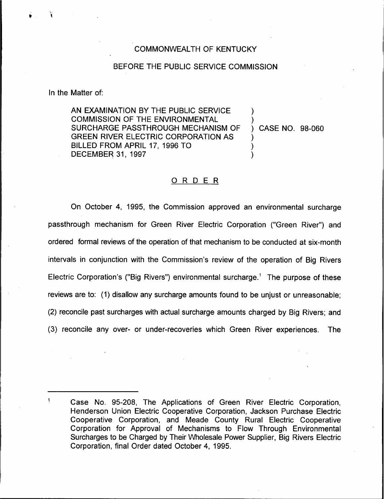## COMMONWEALTH OF KENTUCKY

## BEFORE THE PUBLIC SERVICE COMMISSION

In the Matter of:

AN EXAMINATION BY THE PUBLIC SERVICE COMMISSION OF THE ENVIRONMENTAL SURCHARGE PASSTHROUGH MECHANISM OF GREEN RIVER ELECTRIC CORPORATION AS BILLED FROM APRIL 17, 1996 TO DECEMBER 31, 1997

) CASE NO. 98-060

) )

> ) ) )

## ORDER

On October 4, 1995, the Commission approved an environmental surcharge passthrough mechanism for Green River Electric Corporation ("Green River") and ordered formal reviews of the operation of that mechanism to be conducted at six-month intervals in conjunction with the Commission's review of the operation of Big Rivers Electric Corporation's ("Big Rivers") environmental surcharge.<sup>1</sup> The purpose of these reviews are to: (1) disallow any surcharge amounts found to be unjust or unreasonable; (2) reconcile past surcharges with actual surcharge amounts charged by Big Rivers; and (3) reconcile any over- or under-recoveries which Green River experiences. The

<sup>1</sup> Case No. 95-208, The Applications of Green River Electric Corporation, Henderson Union Electric Cooperative Corporation, Jackson Purchase Electric Cooperative Corporation, and Meade County Rural Electric Cooperative Corporation for Approval of Mechanisms to Flow Through Environmental Surcharges to be Charged by Their Wholesale Power Supplier, Big Rivers Electric Corporation, final Order dated October 4, 1995.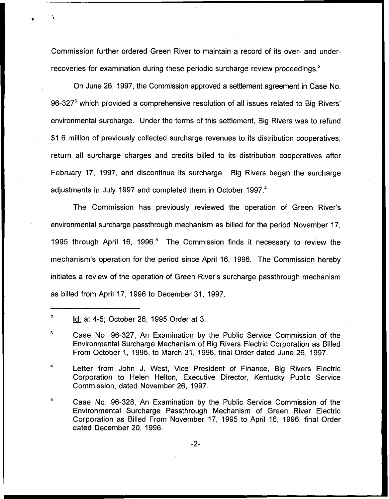Commission further ordered Green River to maintain a record of its over- and underrecoveries for examination during these periodic surcharge review proceedings.<sup>2</sup>

On June 26, 1997, the Commission approved a settlement agreement in Case No.  $96-327<sup>3</sup>$  which provided a comprehensive resolution of all issues related to Big Rivers' surcharge. Under the terms of this settlement, Big Rivers was to refun \$1.6 million of previously collected surcharge revenues to its distribution cooperatives, return all surcharge charges and credits billed to its distribution cooperatives after February 17, 1997, and discontinue its surcharge. Big Rivers began the surcharge adjustments in July 1997 and completed them in October 1997.<sup>4</sup>

The Commission has previously reviewed the operation of Green River's environmental surcharge passthrough mechanism as billed for the period November 17, 1995 through April 16, 1996.<sup>5</sup> The Commission finds it necessary to review the mechanism's operation for the period since April 16, 1996. The Commission hereby initiates a review of the operation of Green River's surcharge passthrough mechanism as billed from April 17, 1996 to December 31, 1997.

4 Letter from John J. West, Vice President of Finance, Big Rivers Electric Corporation to Helen Helton, Executive Director, Kentucky Public Service Commission, dated November 26, 1997.

5 Case No. 96-328, An Examination by the Public Service Commission of the Environmental Surcharge Passthrough Mechanism of Green River Electric Corporation as Billed From November 17, 1995 to April 16, 1996, final Order dated December 20, 1996.

 $\overline{2}$ Id. at 4-5; October 26, 1995 Order at 3.

<sup>3</sup> Case No. 96-327, An Examination by the Public Service Commission of the Environmental Surcharge Mechanism of Big Rivers Electric Corporation as Billed From October 1, 1995, to March 31, 1996, final Order dated June 26, 1997.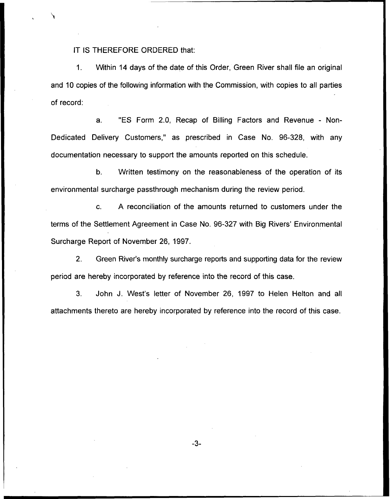IT IS THEREFORE ORDERED that:

1. Within 14 days of the date of this Order, Green River shall file an original and 10 copies of the following information with the Commission, with copies to all parties of record:

a. "ES Form 2.0, Recap of Billing Factors and Revenue - Non-Dedicated Delivery Customers," as prescribed in Case No. 96-328, with any documentation necessary to support the amounts reported on this schedule.

b. Written testimony on the reasonableness of the operation of its environmental surcharge passthrough mechanism during the review period.

c. A reconciliation of the amounts returned to customers under the terms of the Settlement Agreement in Case No. 96-327 with Big Rivers' Environmental Surcharge Report of November 26, 1997.

2. Green River's monthly surcharge reports and supporting data for the review period are hereby incorporated by reference into the record of this case.

3. John J. West's letter of November 26, 1997 to Helen Helton and all attachments thereto are hereby incorporated by reference into the record of this case.

 $-3-$